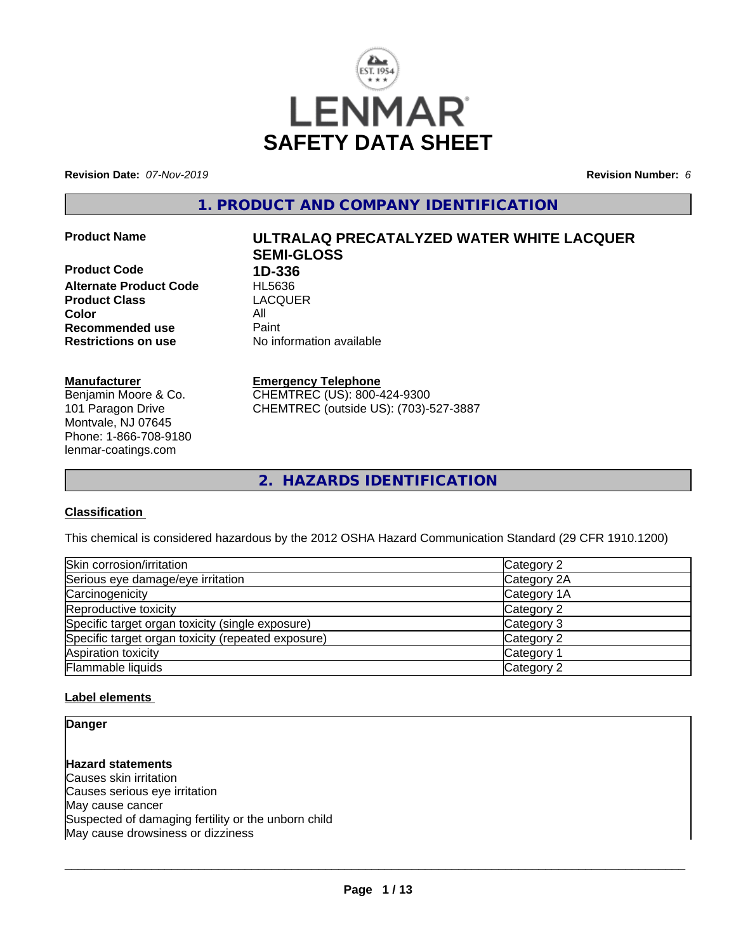

**Revision Date:** *07-Nov-2019* **Revision Number:** *6*

**1. PRODUCT AND COMPANY IDENTIFICATION**

**Product Code 1D-336 Alternate Product Code HL5636**<br> **Product Class** LACQUER **Product Class Color** All **Recommended use** Paint<br> **Restrictions on use** Mo information available **Restrictions on use** 

#### **Manufacturer**

Benjamin Moore & Co. 101 Paragon Drive Montvale, NJ 07645 Phone: 1-866-708-9180 lenmar-coatings.com

# **Product Name ULTRALAQ PRECATALYZED WATER WHITE LACQUER SEMI-GLOSS**

#### **Emergency Telephone**

CHEMTREC (US): 800-424-9300 CHEMTREC (outside US): (703)-527-3887

**2. HAZARDS IDENTIFICATION**

#### **Classification**

This chemical is considered hazardous by the 2012 OSHA Hazard Communication Standard (29 CFR 1910.1200)

| Skin corrosion/irritation                          | Category 2  |
|----------------------------------------------------|-------------|
| Serious eye damage/eye irritation                  | Category 2A |
| Carcinogenicity                                    | Category 1A |
| Reproductive toxicity                              | Category 2  |
| Specific target organ toxicity (single exposure)   | Category 3  |
| Specific target organ toxicity (repeated exposure) | Category 2  |
| Aspiration toxicity                                | Category 1  |
| Flammable liquids                                  | Category 2  |

#### **Label elements**

**Danger**

**Hazard statements** Causes skin irritation Causes serious eye irritation May cause cancer Suspected of damaging fertility or the unborn child May cause drowsiness or dizziness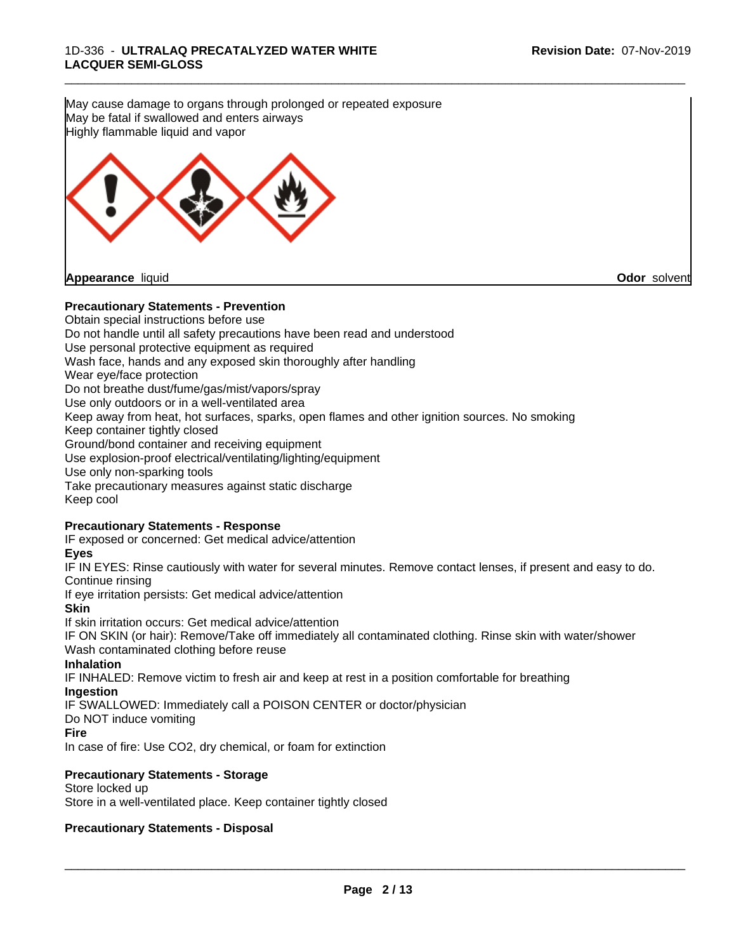**Precautionary Statements - Prevention** Obtain special instructions before use Do not handle until all safety precautions have been read and understood Use personal protective equipment as required Wash face, hands and any exposed skin thoroughly after handling Wear eye/face protection Do not breathe dust/fume/gas/mist/vapors/spray Use only outdoors or in a well-ventilated area Keep away from heat, hot surfaces, sparks, open flames and other ignition sources. No smoking Keep container tightly closed Ground/bond container and receiving equipment Use explosion-proof electrical/ventilating/lighting/equipment Use only non-sparking tools Take precautionary measures against static discharge Keep cool **Precautionary Statements - Response** IF exposed or concerned: Get medical advice/attention **Eyes** IF IN EYES: Rinse cautiously with water for several minutes. Remove contact lenses, if present and easy to do. Continue rinsing If eye irritation persists: Get medical advice/attention **Skin** If skin irritation occurs: Get medical advice/attention IF ON SKIN (or hair): Remove/Take off immediately all contaminated clothing. Rinse skin with water/shower Wash contaminated clothing before reuse **Inhalation** IF INHALED: Remove victim to fresh air and keep at rest in a position comfortable for breathing **Ingestion** IF SWALLOWED: Immediately call a POISON CENTER or doctor/physician Do NOT induce vomiting **Fire** In case of fire: Use CO2, dry chemical, or foam for extinction **Precautionary Statements - Storage** Store locked up Store in a well-ventilated place. Keep container tightly closed **Precautionary Statements - Disposal** May cause damage to organs through prolonged or repeated exposure May be fatal if swallowed and enters airways Highly flammable liquid and vapor **Appearance** liquid **Odor** solvent

\_\_\_\_\_\_\_\_\_\_\_\_\_\_\_\_\_\_\_\_\_\_\_\_\_\_\_\_\_\_\_\_\_\_\_\_\_\_\_\_\_\_\_\_\_\_\_\_\_\_\_\_\_\_\_\_\_\_\_\_\_\_\_\_\_\_\_\_\_\_\_\_\_\_\_\_\_\_\_\_\_\_\_\_\_\_\_\_\_\_\_\_\_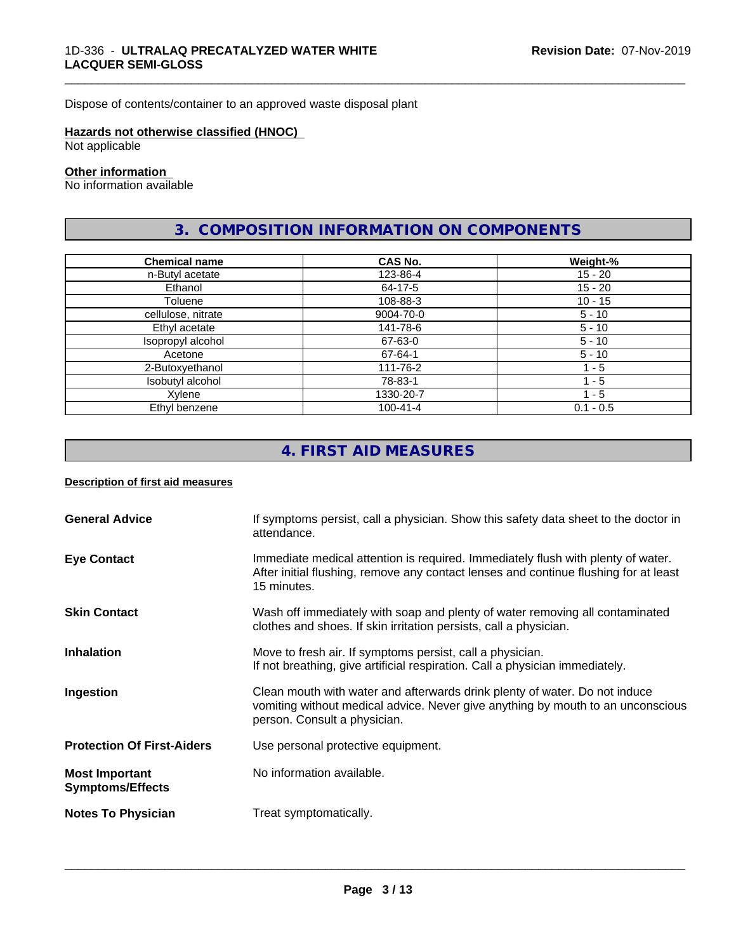Dispose of contents/container to an approved waste disposal plant

#### **Hazards not otherwise classified (HNOC)**

Not applicable

#### **Other information**

No information available

# **3. COMPOSITION INFORMATION ON COMPONENTS**

\_\_\_\_\_\_\_\_\_\_\_\_\_\_\_\_\_\_\_\_\_\_\_\_\_\_\_\_\_\_\_\_\_\_\_\_\_\_\_\_\_\_\_\_\_\_\_\_\_\_\_\_\_\_\_\_\_\_\_\_\_\_\_\_\_\_\_\_\_\_\_\_\_\_\_\_\_\_\_\_\_\_\_\_\_\_\_\_\_\_\_\_\_

| <b>Chemical name</b> | CAS No.        | Weight-%    |
|----------------------|----------------|-------------|
| n-Butyl acetate      | 123-86-4       | $15 - 20$   |
| Ethanol              | 64-17-5        | $15 - 20$   |
| Toluene              | 108-88-3       | $10 - 15$   |
| cellulose, nitrate   | 9004-70-0      | $5 - 10$    |
| Ethyl acetate        | 141-78-6       | $5 - 10$    |
| Isopropyl alcohol    | 67-63-0        | $5 - 10$    |
| Acetone              | 67-64-1        | $5 - 10$    |
| 2-Butoxyethanol      | 111-76-2       | $1 - 5$     |
| Isobutyl alcohol     | 78-83-1        | $1 - 5$     |
| Xylene               | 1330-20-7      | 1 - 5       |
| Ethyl benzene        | $100 - 41 - 4$ | $0.1 - 0.5$ |

# **4. FIRST AID MEASURES**

#### **Description of first aid measures**

| <b>General Advice</b>                            | If symptoms persist, call a physician. Show this safety data sheet to the doctor in<br>attendance.                                                                                            |
|--------------------------------------------------|-----------------------------------------------------------------------------------------------------------------------------------------------------------------------------------------------|
| <b>Eye Contact</b>                               | Immediate medical attention is required. Immediately flush with plenty of water.<br>After initial flushing, remove any contact lenses and continue flushing for at least<br>15 minutes.       |
| <b>Skin Contact</b>                              | Wash off immediately with soap and plenty of water removing all contaminated<br>clothes and shoes. If skin irritation persists, call a physician.                                             |
| <b>Inhalation</b>                                | Move to fresh air. If symptoms persist, call a physician.<br>If not breathing, give artificial respiration. Call a physician immediately.                                                     |
| Ingestion                                        | Clean mouth with water and afterwards drink plenty of water. Do not induce<br>vomiting without medical advice. Never give anything by mouth to an unconscious<br>person. Consult a physician. |
| <b>Protection Of First-Aiders</b>                | Use personal protective equipment.                                                                                                                                                            |
| <b>Most Important</b><br><b>Symptoms/Effects</b> | No information available.                                                                                                                                                                     |
| <b>Notes To Physician</b>                        | Treat symptomatically.                                                                                                                                                                        |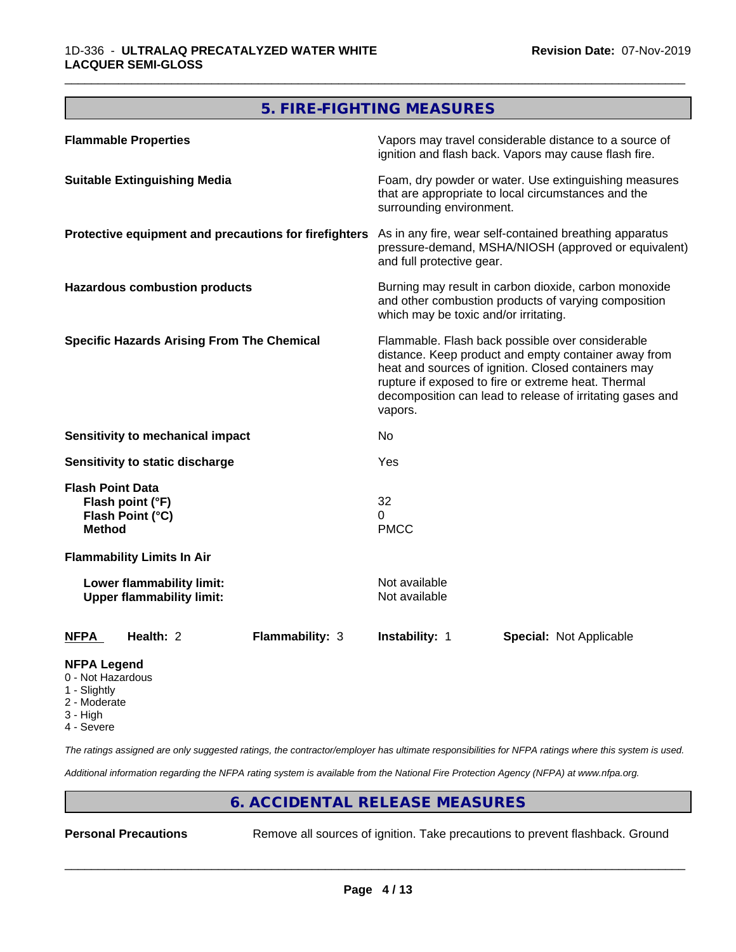# **5. FIRE-FIGHTING MEASURES**

| <b>Flammable Properties</b>                                                      | Vapors may travel considerable distance to a source of<br>ignition and flash back. Vapors may cause flash fire.                                                                                                                                                                                |
|----------------------------------------------------------------------------------|------------------------------------------------------------------------------------------------------------------------------------------------------------------------------------------------------------------------------------------------------------------------------------------------|
| <b>Suitable Extinguishing Media</b>                                              | Foam, dry powder or water. Use extinguishing measures<br>that are appropriate to local circumstances and the<br>surrounding environment.                                                                                                                                                       |
| Protective equipment and precautions for firefighters                            | As in any fire, wear self-contained breathing apparatus<br>pressure-demand, MSHA/NIOSH (approved or equivalent)<br>and full protective gear.                                                                                                                                                   |
| <b>Hazardous combustion products</b>                                             | Burning may result in carbon dioxide, carbon monoxide<br>and other combustion products of varying composition<br>which may be toxic and/or irritating.                                                                                                                                         |
| <b>Specific Hazards Arising From The Chemical</b>                                | Flammable. Flash back possible over considerable<br>distance. Keep product and empty container away from<br>heat and sources of ignition. Closed containers may<br>rupture if exposed to fire or extreme heat. Thermal<br>decomposition can lead to release of irritating gases and<br>vapors. |
| <b>Sensitivity to mechanical impact</b>                                          | No.                                                                                                                                                                                                                                                                                            |
| Sensitivity to static discharge                                                  | Yes                                                                                                                                                                                                                                                                                            |
| <b>Flash Point Data</b><br>Flash point (°F)<br>Flash Point (°C)<br><b>Method</b> | 32<br>0<br><b>PMCC</b>                                                                                                                                                                                                                                                                         |
| <b>Flammability Limits In Air</b>                                                |                                                                                                                                                                                                                                                                                                |
| Lower flammability limit:<br><b>Upper flammability limit:</b>                    | Not available<br>Not available                                                                                                                                                                                                                                                                 |
| Health: 2<br>Flammability: 3<br><b>NFPA</b>                                      | <b>Instability: 1</b><br><b>Special: Not Applicable</b>                                                                                                                                                                                                                                        |
| <b>NFPA Legend</b>                                                               |                                                                                                                                                                                                                                                                                                |

- 0 Not Hazardous
- 1 Slightly
- 2 Moderate
- 3 High
- 4 Severe

*The ratings assigned are only suggested ratings, the contractor/employer has ultimate responsibilities for NFPA ratings where this system is used.*

*Additional information regarding the NFPA rating system is available from the National Fire Protection Agency (NFPA) at www.nfpa.org.*

# **6. ACCIDENTAL RELEASE MEASURES**

**Personal Precautions** Remove all sources of ignition. Take precautions to prevent flashback. Ground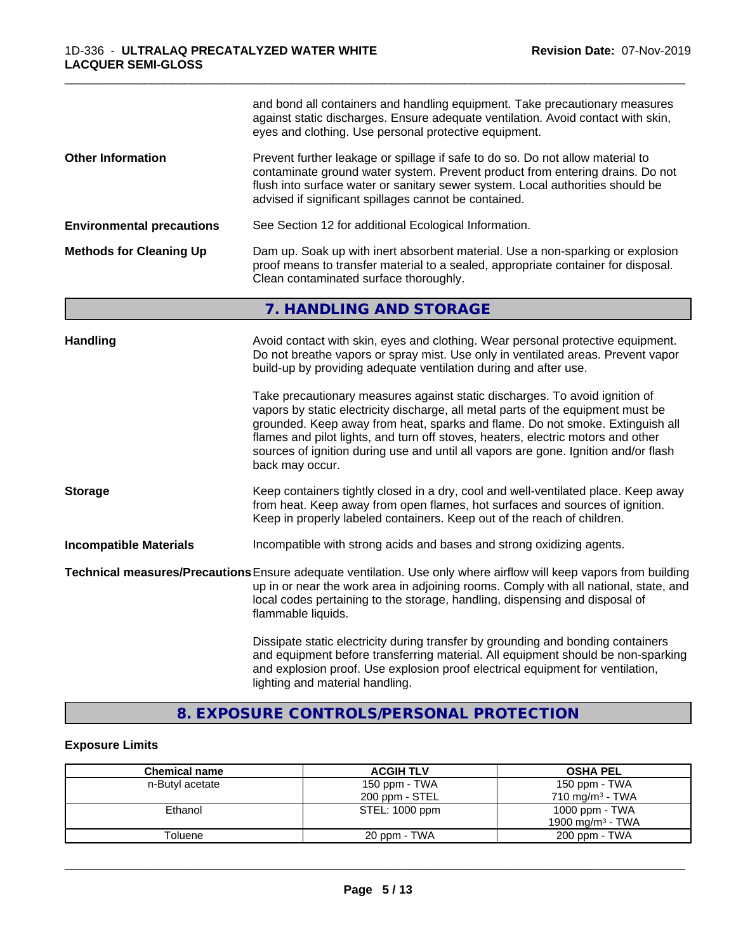|                                  | and bond all containers and handling equipment. Take precautionary measures<br>against static discharges. Ensure adequate ventilation. Avoid contact with skin,<br>eyes and clothing. Use personal protective equipment.                                                                                                                                                                                                                       |
|----------------------------------|------------------------------------------------------------------------------------------------------------------------------------------------------------------------------------------------------------------------------------------------------------------------------------------------------------------------------------------------------------------------------------------------------------------------------------------------|
| <b>Other Information</b>         | Prevent further leakage or spillage if safe to do so. Do not allow material to<br>contaminate ground water system. Prevent product from entering drains. Do not<br>flush into surface water or sanitary sewer system. Local authorities should be<br>advised if significant spillages cannot be contained.                                                                                                                                     |
| <b>Environmental precautions</b> | See Section 12 for additional Ecological Information.                                                                                                                                                                                                                                                                                                                                                                                          |
| <b>Methods for Cleaning Up</b>   | Dam up. Soak up with inert absorbent material. Use a non-sparking or explosion<br>proof means to transfer material to a sealed, appropriate container for disposal.<br>Clean contaminated surface thoroughly.                                                                                                                                                                                                                                  |
|                                  | 7. HANDLING AND STORAGE                                                                                                                                                                                                                                                                                                                                                                                                                        |
| <b>Handling</b>                  | Avoid contact with skin, eyes and clothing. Wear personal protective equipment.<br>Do not breathe vapors or spray mist. Use only in ventilated areas. Prevent vapor<br>build-up by providing adequate ventilation during and after use.                                                                                                                                                                                                        |
|                                  | Take precautionary measures against static discharges. To avoid ignition of<br>vapors by static electricity discharge, all metal parts of the equipment must be<br>grounded. Keep away from heat, sparks and flame. Do not smoke. Extinguish all<br>flames and pilot lights, and turn off stoves, heaters, electric motors and other<br>sources of ignition during use and until all vapors are gone. Ignition and/or flash<br>back may occur. |
| <b>Storage</b>                   | Keep containers tightly closed in a dry, cool and well-ventilated place. Keep away<br>from heat. Keep away from open flames, hot surfaces and sources of ignition.<br>Keep in properly labeled containers. Keep out of the reach of children.                                                                                                                                                                                                  |
| <b>Incompatible Materials</b>    | Incompatible with strong acids and bases and strong oxidizing agents.                                                                                                                                                                                                                                                                                                                                                                          |
|                                  | Technical measures/Precautions Ensure adequate ventilation. Use only where airflow will keep vapors from building<br>up in or near the work area in adjoining rooms. Comply with all national, state, and<br>local codes pertaining to the storage, handling, dispensing and disposal of<br>flammable liquids.                                                                                                                                 |
|                                  | Dissipate static electricity during transfer by grounding and bonding containers<br>and equipment before transferring material. All equipment should be non-sparking<br>and explosion proof. Use explosion proof electrical equipment for ventilation,<br>lighting and material handling.                                                                                                                                                      |

\_\_\_\_\_\_\_\_\_\_\_\_\_\_\_\_\_\_\_\_\_\_\_\_\_\_\_\_\_\_\_\_\_\_\_\_\_\_\_\_\_\_\_\_\_\_\_\_\_\_\_\_\_\_\_\_\_\_\_\_\_\_\_\_\_\_\_\_\_\_\_\_\_\_\_\_\_\_\_\_\_\_\_\_\_\_\_\_\_\_\_\_\_

# **8. EXPOSURE CONTROLS/PERSONAL PROTECTION**

# **Exposure Limits**

| <b>Chemical name</b> | <b>ACGIH TLV</b> | <b>OSHA PEL</b>              |
|----------------------|------------------|------------------------------|
| n-Butyl acetate      | 150 ppm - TWA    | 150 ppm - TWA                |
|                      | 200 ppm - STEL   | $710 \text{ ma/m}^3$ - TWA   |
| Ethanol              | STEL: 1000 ppm   | 1000 ppm - TWA               |
|                      |                  | 1900 mg/m <sup>3</sup> - TWA |
| Toluene              | 20 ppm - TWA     | 200 ppm - TWA                |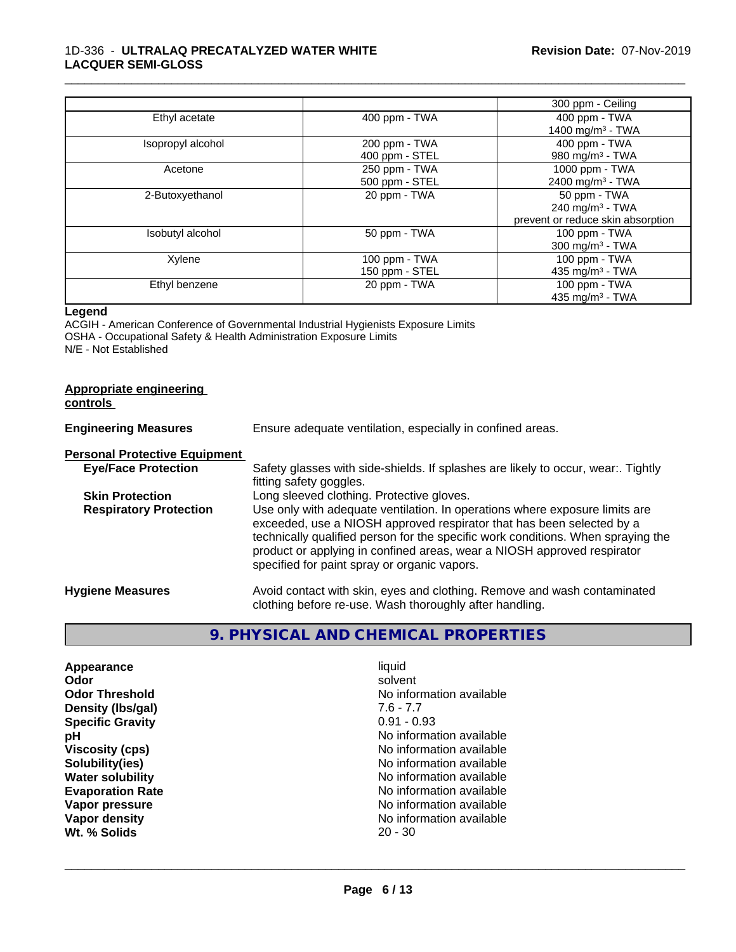#### 1D-336 - **ULTRALAQ PRECATALYZED WATER WHITE LACQUER SEMI-GLOSS**

|                   |                                 | 300 ppm - Ceiling                                                                |
|-------------------|---------------------------------|----------------------------------------------------------------------------------|
| Ethyl acetate     | 400 ppm - TWA                   | 400 ppm - TWA<br>1400 mg/m <sup>3</sup> - TWA                                    |
| Isopropyl alcohol | 200 ppm - TWA<br>400 ppm - STEL | 400 ppm - TWA<br>980 mg/m $3$ - TWA                                              |
| Acetone           | 250 ppm - TWA<br>500 ppm - STEL | 1000 ppm - TWA<br>2400 mg/m <sup>3</sup> - TWA                                   |
| 2-Butoxyethanol   | 20 ppm - TWA                    | 50 ppm - TWA<br>240 mg/m <sup>3</sup> - TWA<br>prevent or reduce skin absorption |
| Isobutyl alcohol  | 50 ppm - TWA                    | $100$ ppm $-$ TWA<br>300 mg/m $3$ - TWA                                          |
| Xylene            | 100 ppm - TWA<br>150 ppm - STEL | $100$ ppm $-$ TWA<br>435 mg/m <sup>3</sup> - TWA                                 |
| Ethyl benzene     | 20 ppm - TWA                    | 100 ppm - TWA<br>435 mg/m $3$ - TWA                                              |

\_\_\_\_\_\_\_\_\_\_\_\_\_\_\_\_\_\_\_\_\_\_\_\_\_\_\_\_\_\_\_\_\_\_\_\_\_\_\_\_\_\_\_\_\_\_\_\_\_\_\_\_\_\_\_\_\_\_\_\_\_\_\_\_\_\_\_\_\_\_\_\_\_\_\_\_\_\_\_\_\_\_\_\_\_\_\_\_\_\_\_\_\_

#### **Legend**

ACGIH - American Conference of Governmental Industrial Hygienists Exposure Limits OSHA - Occupational Safety & Health Administration Exposure Limits N/E - Not Established

#### **Appropriate engineering controls**

| <b>Engineering Measures</b>          | Ensure adequate ventilation, especially in confined areas.                                                                                                                                                                                                                                                                                                          |
|--------------------------------------|---------------------------------------------------------------------------------------------------------------------------------------------------------------------------------------------------------------------------------------------------------------------------------------------------------------------------------------------------------------------|
| <b>Personal Protective Equipment</b> |                                                                                                                                                                                                                                                                                                                                                                     |
| <b>Eye/Face Protection</b>           | Safety glasses with side-shields. If splashes are likely to occur, wear:. Tightly<br>fitting safety goggles.                                                                                                                                                                                                                                                        |
| <b>Skin Protection</b>               | Long sleeved clothing. Protective gloves.                                                                                                                                                                                                                                                                                                                           |
| <b>Respiratory Protection</b>        | Use only with adequate ventilation. In operations where exposure limits are<br>exceeded, use a NIOSH approved respirator that has been selected by a<br>technically qualified person for the specific work conditions. When spraying the<br>product or applying in confined areas, wear a NIOSH approved respirator<br>specified for paint spray or organic vapors. |
| <b>Hygiene Measures</b>              | Avoid contact with skin, eyes and clothing. Remove and wash contaminated<br>clothing before re-use. Wash thoroughly after handling.                                                                                                                                                                                                                                 |

# **9. PHYSICAL AND CHEMICAL PROPERTIES**

| <b>Appearance</b><br>Odor            |
|--------------------------------------|
| <b>Odor Threshold</b>                |
| Density (Ibs/gal)                    |
| <b>Specific Gravity</b>              |
| рH                                   |
| <b>Viscosity (cps)</b>               |
| Solubility(ies)                      |
| <b>Water solubility</b>              |
| <b>Evaporation Rate</b>              |
| Vapor pressure                       |
| <b>Vapor density</b><br>Wt. % Solids |
|                                      |

**Appearance** and the contract of the contract of the contract of the contract of the contract of the contract of the contract of the contract of the contract of the contract of the contract of the contract of the contract **Odor** solvent **No information available Density (lbs/gal)** 7.6 - 7.7 **Specific Gravity and Service Specific Gravity 6.91 - 0.93 No information available Viscosity (cps)** No information available **Solubility(ies)** No information available **No information available Evaporation Rate** No information available **No information available No information available**<br>20 - 30 **Wt. % Solids** 20 - 30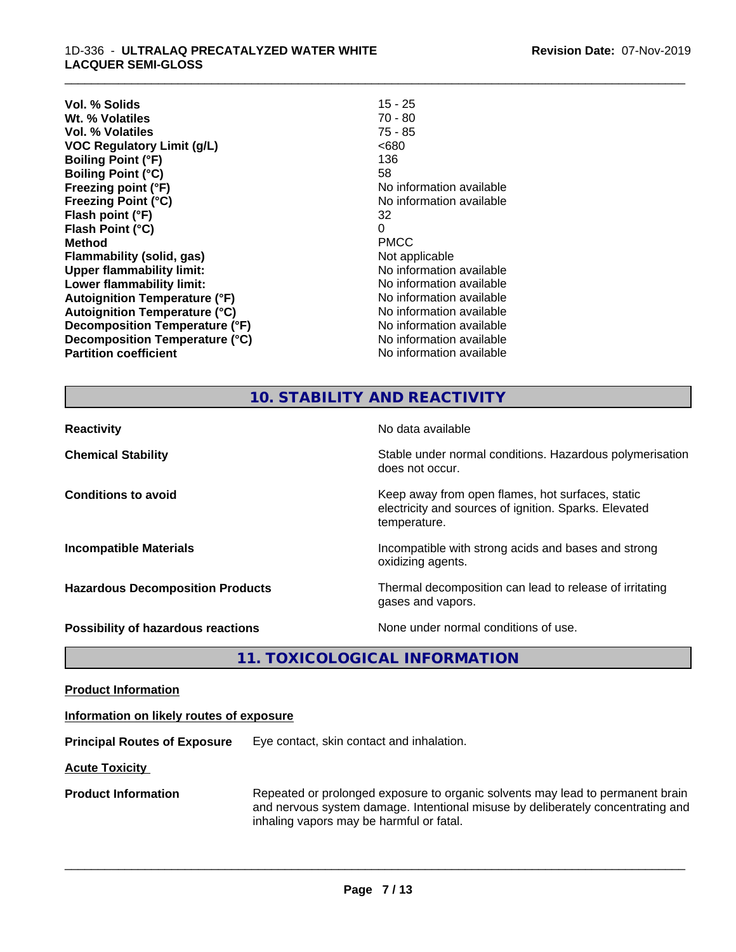| Vol. % Solids                        | 15 - 25                  |
|--------------------------------------|--------------------------|
| Wt. % Volatiles                      | 70 - 80                  |
| Vol. % Volatiles                     | $75 - 85$                |
| <b>VOC Regulatory Limit (g/L)</b>    | <680                     |
| <b>Boiling Point (°F)</b>            | 136                      |
| <b>Boiling Point (°C)</b>            | 58                       |
| Freezing point (°F)                  | No information available |
| <b>Freezing Point (°C)</b>           | No information available |
| Flash point (°F)                     | 32                       |
| Flash Point (°C)                     | 0                        |
| <b>Method</b>                        | <b>PMCC</b>              |
| <b>Flammability (solid, gas)</b>     | Not applicable           |
| <b>Upper flammability limit:</b>     | No information available |
| Lower flammability limit:            | No information available |
| <b>Autoignition Temperature (°F)</b> | No information available |
| <b>Autoignition Temperature (°C)</b> | No information available |
| Decomposition Temperature (°F)       | No information available |
| Decomposition Temperature (°C)       | No information available |
| <b>Partition coefficient</b>         | No information available |

\_\_\_\_\_\_\_\_\_\_\_\_\_\_\_\_\_\_\_\_\_\_\_\_\_\_\_\_\_\_\_\_\_\_\_\_\_\_\_\_\_\_\_\_\_\_\_\_\_\_\_\_\_\_\_\_\_\_\_\_\_\_\_\_\_\_\_\_\_\_\_\_\_\_\_\_\_\_\_\_\_\_\_\_\_\_\_\_\_\_\_\_\_

#### **10. STABILITY AND REACTIVITY**

| <b>Reactivity</b>                         | No data available                                                                                                         |
|-------------------------------------------|---------------------------------------------------------------------------------------------------------------------------|
| <b>Chemical Stability</b>                 | Stable under normal conditions. Hazardous polymerisation<br>does not occur.                                               |
| <b>Conditions to avoid</b>                | Keep away from open flames, hot surfaces, static<br>electricity and sources of ignition. Sparks. Elevated<br>temperature. |
| <b>Incompatible Materials</b>             | Incompatible with strong acids and bases and strong<br>oxidizing agents.                                                  |
| <b>Hazardous Decomposition Products</b>   | Thermal decomposition can lead to release of irritating<br>gases and vapors.                                              |
| <b>Possibility of hazardous reactions</b> | None under normal conditions of use.                                                                                      |

**11. TOXICOLOGICAL INFORMATION**

**Product Information**

#### **Information on likely routes of exposure**

**Principal Routes of Exposure** Eye contact, skin contact and inhalation.

**Acute Toxicity** 

**Product Information** Repeated or prolonged exposure to organic solvents may lead to permanent brain and nervous system damage. Intentional misuse by deliberately concentrating and inhaling vapors may be harmful or fatal.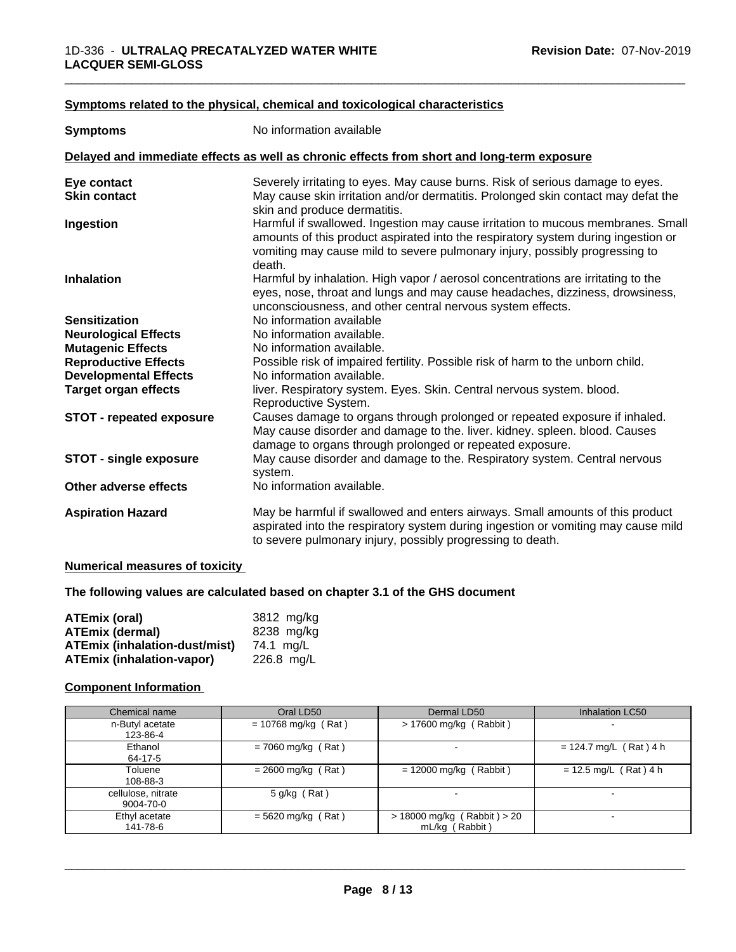#### **<u>Symptoms related to the physical, chemical and toxicological characteristics</u>**

| <b>Symptoms</b>                 | No information available                                                                                                                                                                                                                                      |
|---------------------------------|---------------------------------------------------------------------------------------------------------------------------------------------------------------------------------------------------------------------------------------------------------------|
|                                 | Delayed and immediate effects as well as chronic effects from short and long-term exposure                                                                                                                                                                    |
| Eye contact                     | Severely irritating to eyes. May cause burns. Risk of serious damage to eyes.                                                                                                                                                                                 |
| <b>Skin contact</b>             | May cause skin irritation and/or dermatitis. Prolonged skin contact may defat the<br>skin and produce dermatitis.                                                                                                                                             |
| Ingestion                       | Harmful if swallowed. Ingestion may cause irritation to mucous membranes. Small<br>amounts of this product aspirated into the respiratory system during ingestion or<br>vomiting may cause mild to severe pulmonary injury, possibly progressing to<br>death. |
| <b>Inhalation</b>               | Harmful by inhalation. High vapor / aerosol concentrations are irritating to the<br>eyes, nose, throat and lungs and may cause headaches, dizziness, drowsiness,<br>unconsciousness, and other central nervous system effects.                                |
| <b>Sensitization</b>            | No information available                                                                                                                                                                                                                                      |
| <b>Neurological Effects</b>     | No information available.                                                                                                                                                                                                                                     |
| <b>Mutagenic Effects</b>        | No information available.                                                                                                                                                                                                                                     |
| <b>Reproductive Effects</b>     | Possible risk of impaired fertility. Possible risk of harm to the unborn child.                                                                                                                                                                               |
| <b>Developmental Effects</b>    | No information available.                                                                                                                                                                                                                                     |
| <b>Target organ effects</b>     | liver. Respiratory system. Eyes. Skin. Central nervous system. blood.<br>Reproductive System.                                                                                                                                                                 |
| <b>STOT - repeated exposure</b> | Causes damage to organs through prolonged or repeated exposure if inhaled.<br>May cause disorder and damage to the. liver. kidney. spleen. blood. Causes<br>damage to organs through prolonged or repeated exposure.                                          |
| <b>STOT - single exposure</b>   | May cause disorder and damage to the. Respiratory system. Central nervous<br>system.                                                                                                                                                                          |
| Other adverse effects           | No information available.                                                                                                                                                                                                                                     |
| <b>Aspiration Hazard</b>        | May be harmful if swallowed and enters airways. Small amounts of this product<br>aspirated into the respiratory system during ingestion or vomiting may cause mild<br>to severe pulmonary injury, possibly progressing to death.                              |

#### **Numerical measures of toxicity**

#### **The following values are calculated based on chapter 3.1 of the GHS document**

| <b>ATEmix (oral)</b>             | 3812 mg/kg   |
|----------------------------------|--------------|
| <b>ATEmix (dermal)</b>           | 8238 mg/kg   |
| ATEmix (inhalation-dust/mist)    | 74.1 ma/L    |
| <b>ATEmix (inhalation-vapor)</b> | $226.8$ mg/L |

#### **Component Information**

| Chemical name      | Oral LD50             | Dermal LD50                     | Inhalation LC50          |
|--------------------|-----------------------|---------------------------------|--------------------------|
| n-Butyl acetate    | $= 10768$ mg/kg (Rat) | $> 17600$ mg/kg (Rabbit)        | $\overline{\phantom{a}}$ |
| 123-86-4           |                       |                                 |                          |
| Ethanol            | $= 7060$ mg/kg (Rat)  |                                 | $= 124.7$ mg/L (Rat) 4 h |
| 64-17-5            |                       |                                 |                          |
| Toluene            | $= 2600$ mg/kg (Rat)  | $= 12000$ mg/kg (Rabbit)        | $= 12.5$ mg/L (Rat) 4 h  |
| 108-88-3           |                       |                                 |                          |
| cellulose, nitrate | $5$ g/kg (Rat)        |                                 |                          |
| 9004-70-0          |                       |                                 |                          |
| Ethyl acetate      | $= 5620$ mg/kg (Rat)  | $> 18000$ mg/kg (Rabbit) $> 20$ | $\overline{\phantom{a}}$ |
| 141-78-6           |                       | mL/kg (Rabbit)                  |                          |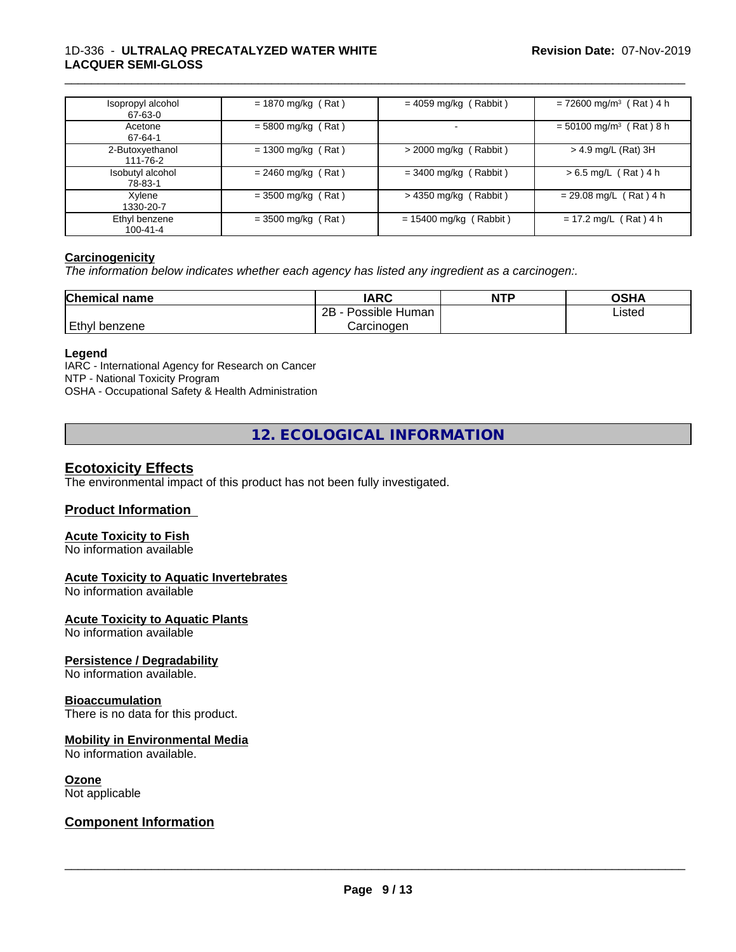#### 1D-336 - **ULTRALAQ PRECATALYZED WATER WHITE LACQUER SEMI-GLOSS**

| Isopropyl alcohol<br>67-63-0    | $= 1870$ mg/kg (Rat) | $= 4059$ mg/kg (Rabbit)  | $= 72600$ mg/m <sup>3</sup> (Rat) 4 h |
|---------------------------------|----------------------|--------------------------|---------------------------------------|
| Acetone<br>67-64-1              | $= 5800$ mg/kg (Rat) | $\blacksquare$           | $= 50100$ mg/m <sup>3</sup> (Rat) 8 h |
| 2-Butoxyethanol<br>111-76-2     | $= 1300$ mg/kg (Rat) | $>$ 2000 mg/kg (Rabbit)  | > 4.9 mg/L (Rat) 3H                   |
| Isobutyl alcohol<br>78-83-1     | $= 2460$ mg/kg (Rat) | $=$ 3400 mg/kg (Rabbit)  | $> 6.5$ mg/L (Rat) 4 h                |
| Xylene<br>1330-20-7             | $= 3500$ mg/kg (Rat) | $>$ 4350 mg/kg (Rabbit)  | $= 29.08$ mg/L (Rat) 4 h              |
| Ethyl benzene<br>$100 - 41 - 4$ | $= 3500$ mg/kg (Rat) | $= 15400$ mg/kg (Rabbit) | $= 17.2$ mg/L (Rat) 4 h               |

\_\_\_\_\_\_\_\_\_\_\_\_\_\_\_\_\_\_\_\_\_\_\_\_\_\_\_\_\_\_\_\_\_\_\_\_\_\_\_\_\_\_\_\_\_\_\_\_\_\_\_\_\_\_\_\_\_\_\_\_\_\_\_\_\_\_\_\_\_\_\_\_\_\_\_\_\_\_\_\_\_\_\_\_\_\_\_\_\_\_\_\_\_

#### **Carcinogenicity**

*The information below indicateswhether each agency has listed any ingredient as a carcinogen:.*

| <b>Chemical name</b> | <b>IARC</b>          | <b>NTP</b> | <b>OSHA</b> |
|----------------------|----------------------|------------|-------------|
|                      | 2B<br>Possible Human |            | Listed      |
| Ethyl<br>benzene     | Carcinogen           |            |             |

#### **Legend**

IARC - International Agency for Research on Cancer NTP - National Toxicity Program OSHA - Occupational Safety & Health Administration

**12. ECOLOGICAL INFORMATION**

### **Ecotoxicity Effects**

The environmental impact of this product has not been fully investigated.

### **Product Information**

#### **Acute Toxicity to Fish**

No information available

#### **Acute Toxicity to Aquatic Invertebrates**

No information available

#### **Acute Toxicity to Aquatic Plants**

No information available

#### **Persistence / Degradability**

No information available.

#### **Bioaccumulation**

There is no data for this product.

#### **Mobility in Environmental Media**

No information available.

#### **Ozone**

Not applicable

#### **Component Information**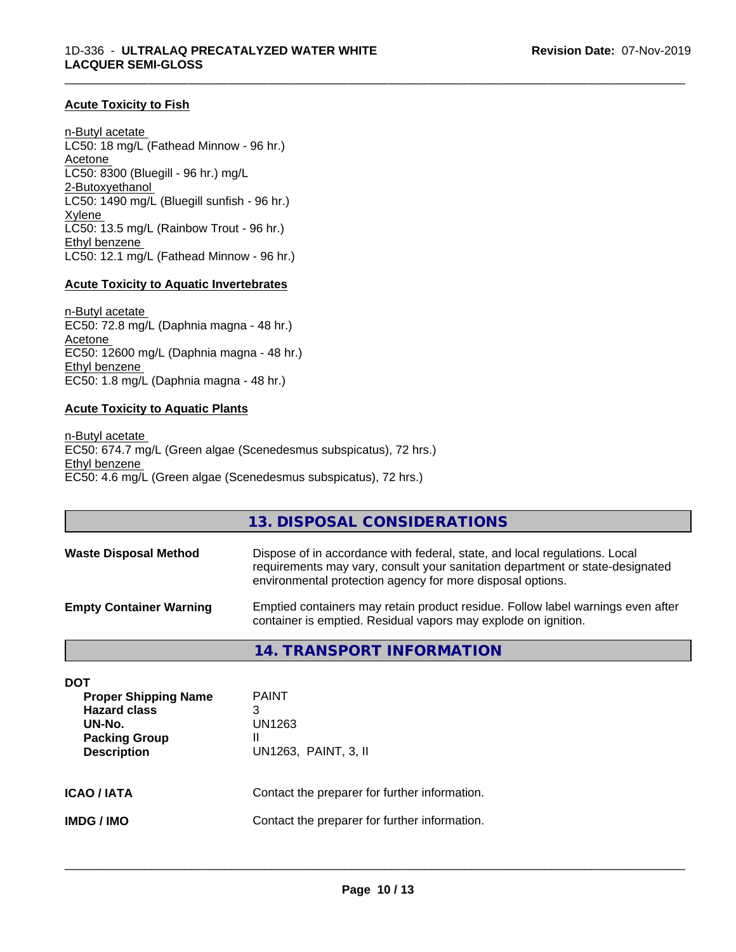#### **Acute Toxicity to Fish**

n-Butyl acetate LC50: 18 mg/L (Fathead Minnow - 96 hr.) Acetone LC50: 8300 (Bluegill - 96 hr.) mg/L 2-Butoxyethanol LC50: 1490 mg/L (Bluegill sunfish - 96 hr.) Xylene LC50: 13.5 mg/L (Rainbow Trout - 96 hr.) Ethyl benzene LC50: 12.1 mg/L (Fathead Minnow - 96 hr.)

#### **Acute Toxicity to Aquatic Invertebrates**

n-Butyl acetate EC50: 72.8 mg/L (Daphnia magna - 48 hr.) Acetone EC50: 12600 mg/L (Daphnia magna - 48 hr.) Ethyl benzene EC50: 1.8 mg/L (Daphnia magna - 48 hr.)

#### **Acute Toxicity to Aquatic Plants**

n-Butyl acetate EC50: 674.7 mg/L (Green algae (Scenedesmus subspicatus), 72 hrs.) Ethyl benzene EC50: 4.6 mg/L (Green algae (Scenedesmus subspicatus), 72 hrs.)

#### **13. DISPOSAL CONSIDERATIONS**

\_\_\_\_\_\_\_\_\_\_\_\_\_\_\_\_\_\_\_\_\_\_\_\_\_\_\_\_\_\_\_\_\_\_\_\_\_\_\_\_\_\_\_\_\_\_\_\_\_\_\_\_\_\_\_\_\_\_\_\_\_\_\_\_\_\_\_\_\_\_\_\_\_\_\_\_\_\_\_\_\_\_\_\_\_\_\_\_\_\_\_\_\_

| <b>Waste Disposal Method</b>   | Dispose of in accordance with federal, state, and local regulations. Local<br>requirements may vary, consult your sanitation department or state-designated<br>environmental protection agency for more disposal options. |
|--------------------------------|---------------------------------------------------------------------------------------------------------------------------------------------------------------------------------------------------------------------------|
| <b>Empty Container Warning</b> | Emptied containers may retain product residue. Follow label warnings even after<br>container is emptied. Residual vapors may explode on ignition.                                                                         |

#### **14. TRANSPORT INFORMATION**

| DOT<br><b>Proper Shipping Name</b><br><b>Hazard class</b><br>UN-No.<br><b>Packing Group</b><br><b>Description</b> | <b>PAINT</b><br>3<br>UN1263<br>Ш<br>UN1263, PAINT, 3, II |
|-------------------------------------------------------------------------------------------------------------------|----------------------------------------------------------|
| <b>ICAO/IATA</b>                                                                                                  | Contact the preparer for further information.            |
| IMDG / IMO                                                                                                        | Contact the preparer for further information.            |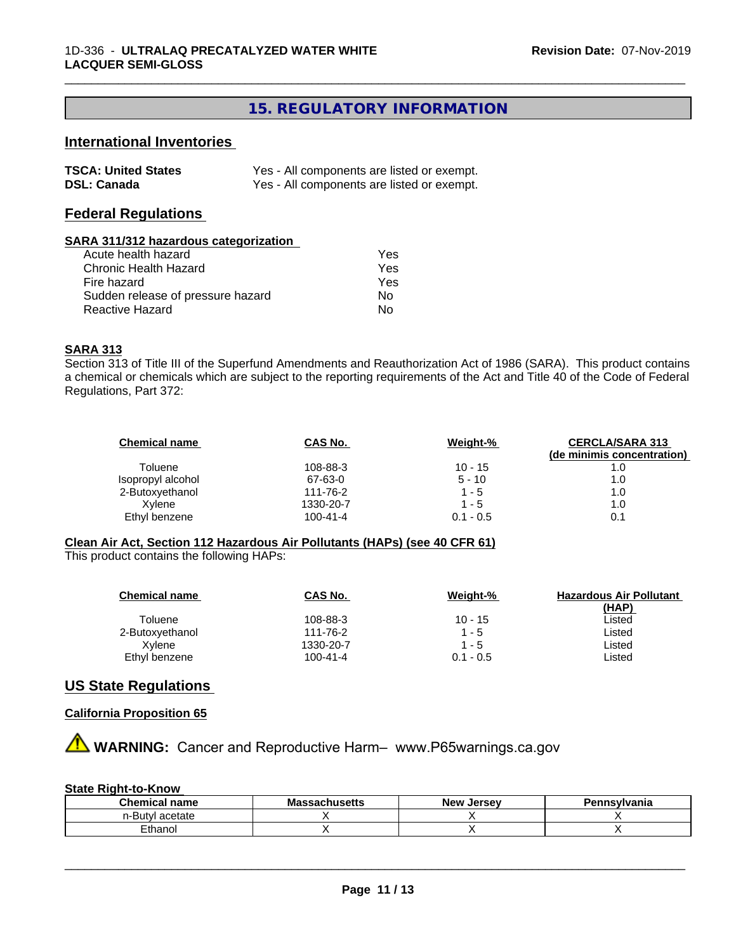# **15. REGULATORY INFORMATION**

\_\_\_\_\_\_\_\_\_\_\_\_\_\_\_\_\_\_\_\_\_\_\_\_\_\_\_\_\_\_\_\_\_\_\_\_\_\_\_\_\_\_\_\_\_\_\_\_\_\_\_\_\_\_\_\_\_\_\_\_\_\_\_\_\_\_\_\_\_\_\_\_\_\_\_\_\_\_\_\_\_\_\_\_\_\_\_\_\_\_\_\_\_

# **International Inventories**

| <b>TSCA: United States</b> | Yes - All components are listed or exempt. |
|----------------------------|--------------------------------------------|
| <b>DSL: Canada</b>         | Yes - All components are listed or exempt. |

#### **Federal Regulations**

#### **SARA 311/312 hazardous categorization**

| Acute health hazard               | Yes |
|-----------------------------------|-----|
| Chronic Health Hazard             | Yes |
| Fire hazard                       | Yes |
| Sudden release of pressure hazard | Nο  |
| Reactive Hazard                   | N٥  |

#### **SARA 313**

Section 313 of Title III of the Superfund Amendments and Reauthorization Act of 1986 (SARA). This product contains a chemical or chemicals which are subject to the reporting requirements of the Act and Title 40 of the Code of Federal Regulations, Part 372:

| <b>Chemical name</b> | CAS No.        | Weight-%    | <b>CERCLA/SARA 313</b><br>(de minimis concentration) |
|----------------------|----------------|-------------|------------------------------------------------------|
| Toluene              | 108-88-3       | $10 - 15$   | 1.0                                                  |
| Isopropyl alcohol    | 67-63-0        | $5 - 10$    | 1.0                                                  |
| 2-Butoxyethanol      | 111-76-2       | $1 - 5$     | 1.0                                                  |
| Xvlene               | 1330-20-7      | 1 - 5       | 1.0                                                  |
| Ethyl benzene        | $100 - 41 - 4$ | $0.1 - 0.5$ | 0.1                                                  |

#### **Clean Air Act,Section 112 Hazardous Air Pollutants (HAPs) (see 40 CFR 61)**

This product contains the following HAPs:

| <b>Chemical name</b> | CAS No.        | Weight-%    | <b>Hazardous Air Pollutant</b> |
|----------------------|----------------|-------------|--------------------------------|
|                      |                |             | (HAP)                          |
| Toluene              | 108-88-3       | $10 - 15$   | Listed                         |
| 2-Butoxyethanol      | 111-76-2       | $1 - 5$     | Listed                         |
| Xvlene               | 1330-20-7      | 1 - 5       | Listed                         |
| Ethyl benzene        | $100 - 41 - 4$ | $0.1 - 0.5$ | ∟isted                         |

#### **US State Regulations**

#### **California Proposition 65**

**AN** WARNING: Cancer and Reproductive Harm– www.P65warnings.ca.gov

#### **State Right-to-Know**

| name<br>янка    | - -<br>1496119 | Jersev<br>— Ne™<br>-196. | ≅vlvania |
|-----------------|----------------|--------------------------|----------|
| etate<br>∙But∨l |                |                          |          |
| Ethanol         |                |                          |          |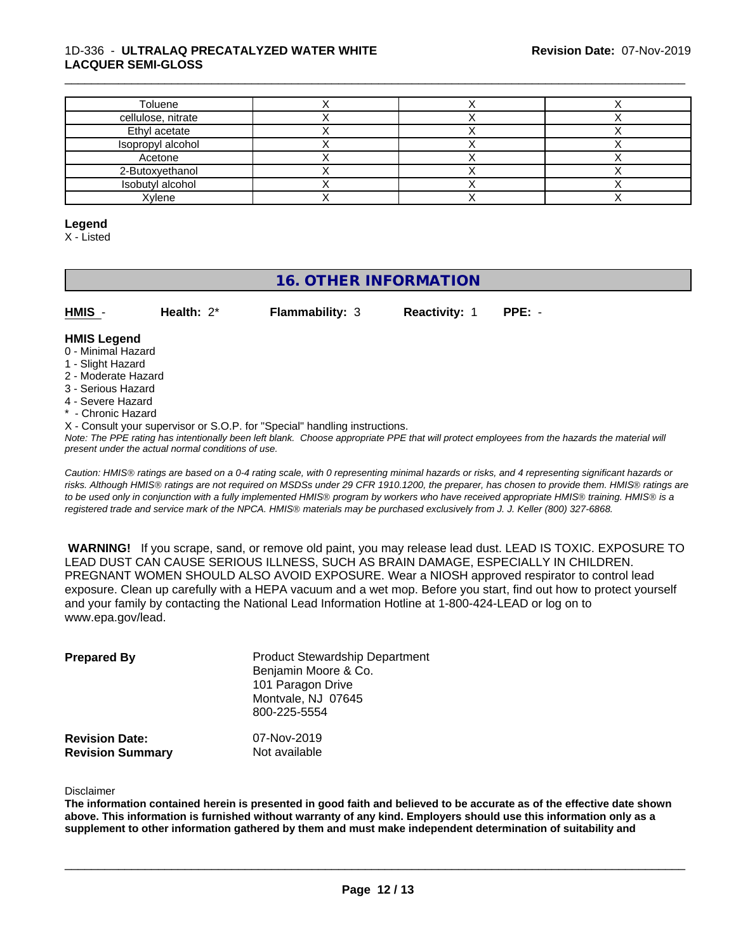#### 1D-336 - **ULTRALAQ PRECATALYZED WATER WHITE LACQUER SEMI-GLOSS**

| Toluene            |  |  |
|--------------------|--|--|
| cellulose, nitrate |  |  |
| Ethyl acetate      |  |  |
| Isopropyl alcohol  |  |  |
| Acetone            |  |  |
| 2-Butoxyethanol    |  |  |
| Isobutyl alcohol   |  |  |
| Xylene             |  |  |

\_\_\_\_\_\_\_\_\_\_\_\_\_\_\_\_\_\_\_\_\_\_\_\_\_\_\_\_\_\_\_\_\_\_\_\_\_\_\_\_\_\_\_\_\_\_\_\_\_\_\_\_\_\_\_\_\_\_\_\_\_\_\_\_\_\_\_\_\_\_\_\_\_\_\_\_\_\_\_\_\_\_\_\_\_\_\_\_\_\_\_\_\_

#### **Legend**

X - Listed

# **16. OTHER INFORMATION**

| HMIS | Health: $2^*$ | <b>Flammability: 3</b> | <b>Reactivity: 1</b> | $PPE: -$ |
|------|---------------|------------------------|----------------------|----------|

#### **HMIS Legend**

- 0 Minimal Hazard
- 1 Slight Hazard
- 2 Moderate Hazard
- 3 Serious Hazard
- 4 Severe Hazard
- Chronic Hazard
- X Consult your supervisor or S.O.P. for "Special" handling instructions.

*Note: The PPE rating has intentionally been left blank. Choose appropriate PPE that will protect employees from the hazards the material will present under the actual normal conditions of use.*

*Caution: HMISÒ ratings are based on a 0-4 rating scale, with 0 representing minimal hazards or risks, and 4 representing significant hazards or risks. Although HMISÒ ratings are not required on MSDSs under 29 CFR 1910.1200, the preparer, has chosen to provide them. HMISÒ ratings are to be used only in conjunction with a fully implemented HMISÒ program by workers who have received appropriate HMISÒ training. HMISÒ is a registered trade and service mark of the NPCA. HMISÒ materials may be purchased exclusively from J. J. Keller (800) 327-6868.*

 **WARNING!** If you scrape, sand, or remove old paint, you may release lead dust. LEAD IS TOXIC. EXPOSURE TO LEAD DUST CAN CAUSE SERIOUS ILLNESS, SUCH AS BRAIN DAMAGE, ESPECIALLY IN CHILDREN. PREGNANT WOMEN SHOULD ALSO AVOID EXPOSURE.Wear a NIOSH approved respirator to control lead exposure. Clean up carefully with a HEPA vacuum and a wet mop. Before you start, find out how to protect yourself and your family by contacting the National Lead Information Hotline at 1-800-424-LEAD or log on to www.epa.gov/lead.

| <b>Prepared By</b>                               | <b>Product Stewardship Department</b><br>Benjamin Moore & Co.<br>101 Paragon Drive<br>Montvale, NJ 07645<br>800-225-5554 |  |
|--------------------------------------------------|--------------------------------------------------------------------------------------------------------------------------|--|
| <b>Revision Date:</b><br><b>Revision Summary</b> | 07-Nov-2019<br>Not available                                                                                             |  |

Disclaimer

The information contained herein is presented in good faith and believed to be accurate as of the effective date shown above. This information is furnished without warranty of any kind. Employers should use this information only as a **supplement to other information gathered by them and must make independent determination of suitability and**